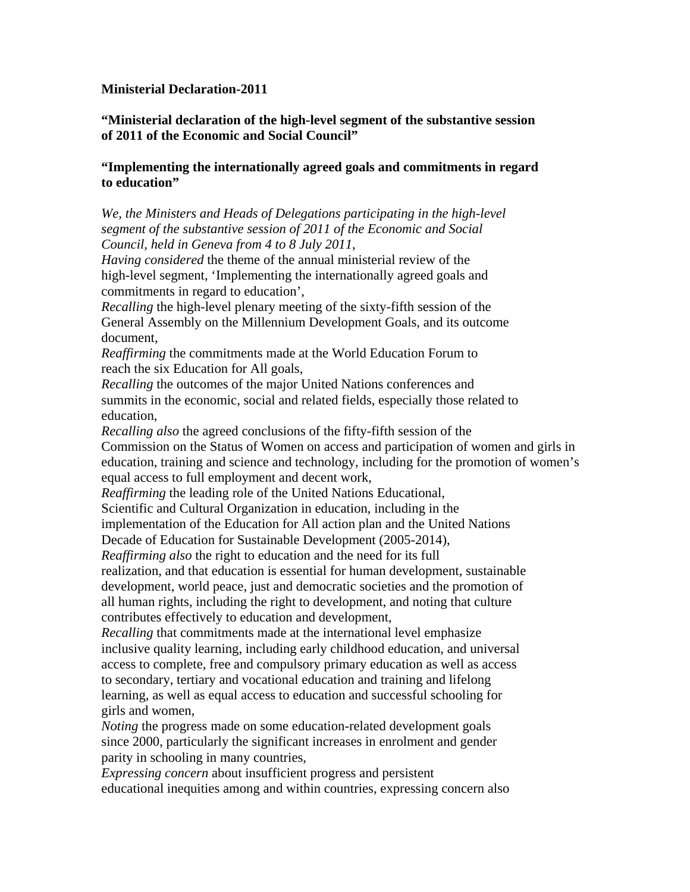## **Ministerial Declaration-2011**

**"Ministerial declaration of the high-level segment of the substantive session of 2011 of the Economic and Social Council"** 

## **"Implementing the internationally agreed goals and commitments in regard to education"**

*We, the Ministers and Heads of Delegations participating in the high-level segment of the substantive session of 2011 of the Economic and Social Council, held in Geneva from 4 to 8 July 2011*,

*Having considered* the theme of the annual ministerial review of the high-level segment, 'Implementing the internationally agreed goals and commitments in regard to education',

*Recalling* the high-level plenary meeting of the sixty-fifth session of the General Assembly on the Millennium Development Goals, and its outcome document,

*Reaffirming* the commitments made at the World Education Forum to reach the six Education for All goals,

*Recalling* the outcomes of the major United Nations conferences and summits in the economic, social and related fields, especially those related to education,

*Recalling also* the agreed conclusions of the fifty-fifth session of the Commission on the Status of Women on access and participation of women and girls in education, training and science and technology, including for the promotion of women's equal access to full employment and decent work,

*Reaffirming* the leading role of the United Nations Educational,

Scientific and Cultural Organization in education, including in the

implementation of the Education for All action plan and the United Nations

Decade of Education for Sustainable Development (2005-2014),

*Reaffirming also* the right to education and the need for its full realization, and that education is essential for human development, sustainable development, world peace, just and democratic societies and the promotion of all human rights, including the right to development, and noting that culture contributes effectively to education and development,

*Recalling* that commitments made at the international level emphasize inclusive quality learning, including early childhood education, and universal access to complete, free and compulsory primary education as well as access to secondary, tertiary and vocational education and training and lifelong learning, as well as equal access to education and successful schooling for girls and women,

*Noting* the progress made on some education-related development goals since 2000, particularly the significant increases in enrolment and gender parity in schooling in many countries,

*Expressing concern* about insufficient progress and persistent educational inequities among and within countries, expressing concern also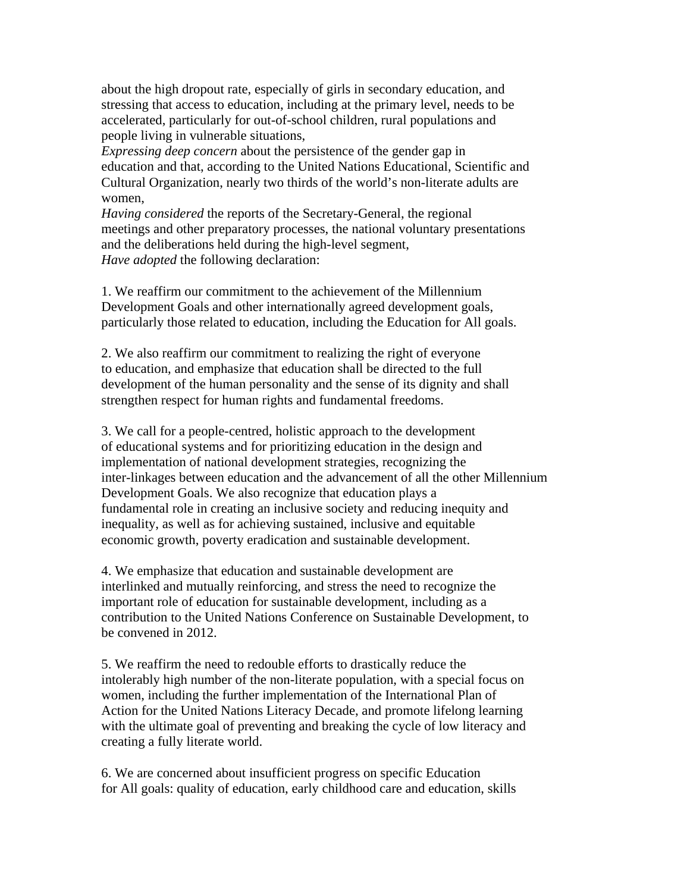about the high dropout rate, especially of girls in secondary education, and stressing that access to education, including at the primary level, needs to be accelerated, particularly for out-of-school children, rural populations and people living in vulnerable situations,

*Expressing deep concern* about the persistence of the gender gap in education and that, according to the United Nations Educational, Scientific and Cultural Organization, nearly two thirds of the world's non-literate adults are women,

*Having considered* the reports of the Secretary-General, the regional meetings and other preparatory processes, the national voluntary presentations and the deliberations held during the high-level segment, *Have adopted* the following declaration:

1. We reaffirm our commitment to the achievement of the Millennium Development Goals and other internationally agreed development goals, particularly those related to education, including the Education for All goals.

2. We also reaffirm our commitment to realizing the right of everyone to education, and emphasize that education shall be directed to the full development of the human personality and the sense of its dignity and shall strengthen respect for human rights and fundamental freedoms.

3. We call for a people-centred, holistic approach to the development of educational systems and for prioritizing education in the design and implementation of national development strategies, recognizing the inter-linkages between education and the advancement of all the other Millennium Development Goals. We also recognize that education plays a fundamental role in creating an inclusive society and reducing inequity and inequality, as well as for achieving sustained, inclusive and equitable economic growth, poverty eradication and sustainable development.

4. We emphasize that education and sustainable development are interlinked and mutually reinforcing, and stress the need to recognize the important role of education for sustainable development, including as a contribution to the United Nations Conference on Sustainable Development, to be convened in 2012.

5. We reaffirm the need to redouble efforts to drastically reduce the intolerably high number of the non-literate population, with a special focus on women, including the further implementation of the International Plan of Action for the United Nations Literacy Decade, and promote lifelong learning with the ultimate goal of preventing and breaking the cycle of low literacy and creating a fully literate world.

6. We are concerned about insufficient progress on specific Education for All goals: quality of education, early childhood care and education, skills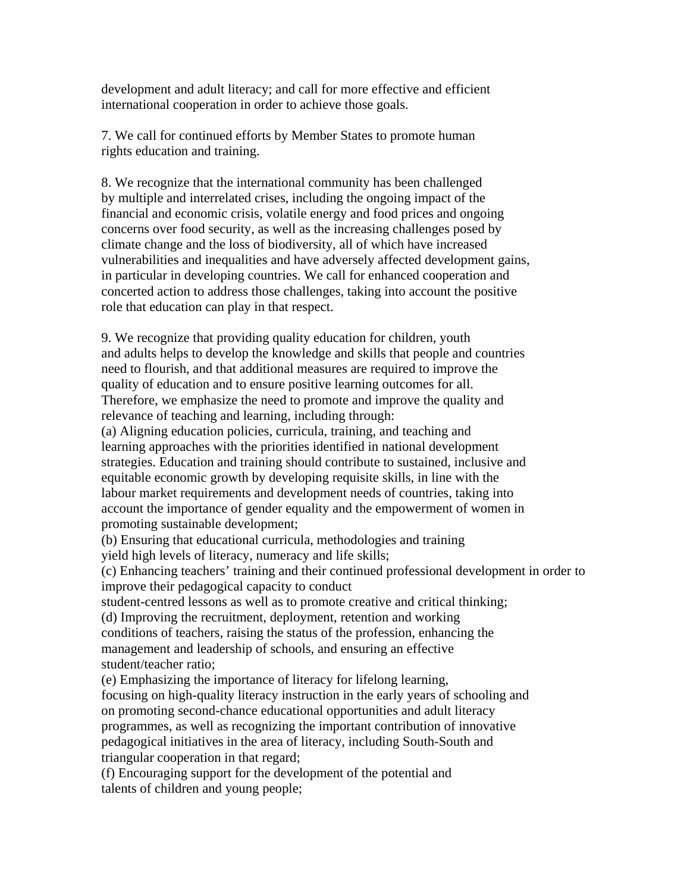development and adult literacy; and call for more effective and efficient international cooperation in order to achieve those goals.

7. We call for continued efforts by Member States to promote human rights education and training.

8. We recognize that the international community has been challenged by multiple and interrelated crises, including the ongoing impact of the financial and economic crisis, volatile energy and food prices and ongoing concerns over food security, as well as the increasing challenges posed by climate change and the loss of biodiversity, all of which have increased vulnerabilities and inequalities and have adversely affected development gains, in particular in developing countries. We call for enhanced cooperation and concerted action to address those challenges, taking into account the positive role that education can play in that respect.

9. We recognize that providing quality education for children, youth and adults helps to develop the knowledge and skills that people and countries need to flourish, and that additional measures are required to improve the quality of education and to ensure positive learning outcomes for all. Therefore, we emphasize the need to promote and improve the quality and relevance of teaching and learning, including through:

(a) Aligning education policies, curricula, training, and teaching and learning approaches with the priorities identified in national development strategies. Education and training should contribute to sustained, inclusive and equitable economic growth by developing requisite skills, in line with the labour market requirements and development needs of countries, taking into account the importance of gender equality and the empowerment of women in promoting sustainable development;

(b) Ensuring that educational curricula, methodologies and training yield high levels of literacy, numeracy and life skills;

(c) Enhancing teachers' training and their continued professional development in order to improve their pedagogical capacity to conduct

student-centred lessons as well as to promote creative and critical thinking;

(d) Improving the recruitment, deployment, retention and working conditions of teachers, raising the status of the profession, enhancing the management and leadership of schools, and ensuring an effective student/teacher ratio;

(e) Emphasizing the importance of literacy for lifelong learning, focusing on high-quality literacy instruction in the early years of schooling and on promoting second-chance educational opportunities and adult literacy programmes, as well as recognizing the important contribution of innovative pedagogical initiatives in the area of literacy, including South-South and triangular cooperation in that regard;

(f) Encouraging support for the development of the potential and talents of children and young people;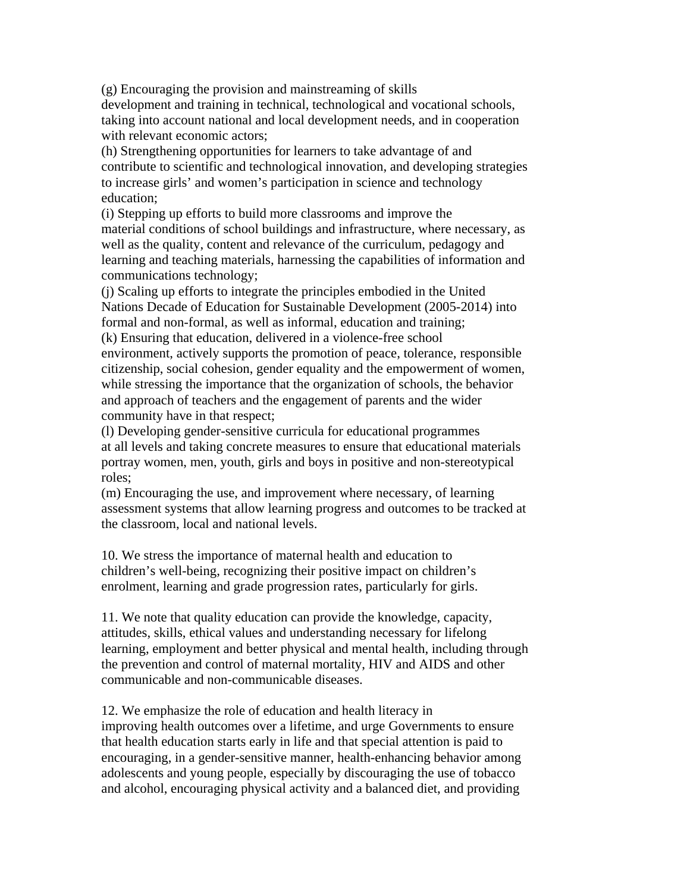(g) Encouraging the provision and mainstreaming of skills development and training in technical, technological and vocational schools, taking into account national and local development needs, and in cooperation with relevant economic actors;

(h) Strengthening opportunities for learners to take advantage of and contribute to scientific and technological innovation, and developing strategies to increase girls' and women's participation in science and technology education;

(i) Stepping up efforts to build more classrooms and improve the material conditions of school buildings and infrastructure, where necessary, as well as the quality, content and relevance of the curriculum, pedagogy and learning and teaching materials, harnessing the capabilities of information and communications technology;

(j) Scaling up efforts to integrate the principles embodied in the United Nations Decade of Education for Sustainable Development (2005-2014) into formal and non-formal, as well as informal, education and training; (k) Ensuring that education, delivered in a violence-free school environment, actively supports the promotion of peace, tolerance, responsible citizenship, social cohesion, gender equality and the empowerment of women, while stressing the importance that the organization of schools, the behavior and approach of teachers and the engagement of parents and the wider community have in that respect;

(l) Developing gender-sensitive curricula for educational programmes at all levels and taking concrete measures to ensure that educational materials portray women, men, youth, girls and boys in positive and non-stereotypical roles;

(m) Encouraging the use, and improvement where necessary, of learning assessment systems that allow learning progress and outcomes to be tracked at the classroom, local and national levels.

10. We stress the importance of maternal health and education to children's well-being, recognizing their positive impact on children's enrolment, learning and grade progression rates, particularly for girls.

11. We note that quality education can provide the knowledge, capacity, attitudes, skills, ethical values and understanding necessary for lifelong learning, employment and better physical and mental health, including through the prevention and control of maternal mortality, HIV and AIDS and other communicable and non-communicable diseases.

12. We emphasize the role of education and health literacy in improving health outcomes over a lifetime, and urge Governments to ensure that health education starts early in life and that special attention is paid to encouraging, in a gender-sensitive manner, health-enhancing behavior among adolescents and young people, especially by discouraging the use of tobacco and alcohol, encouraging physical activity and a balanced diet, and providing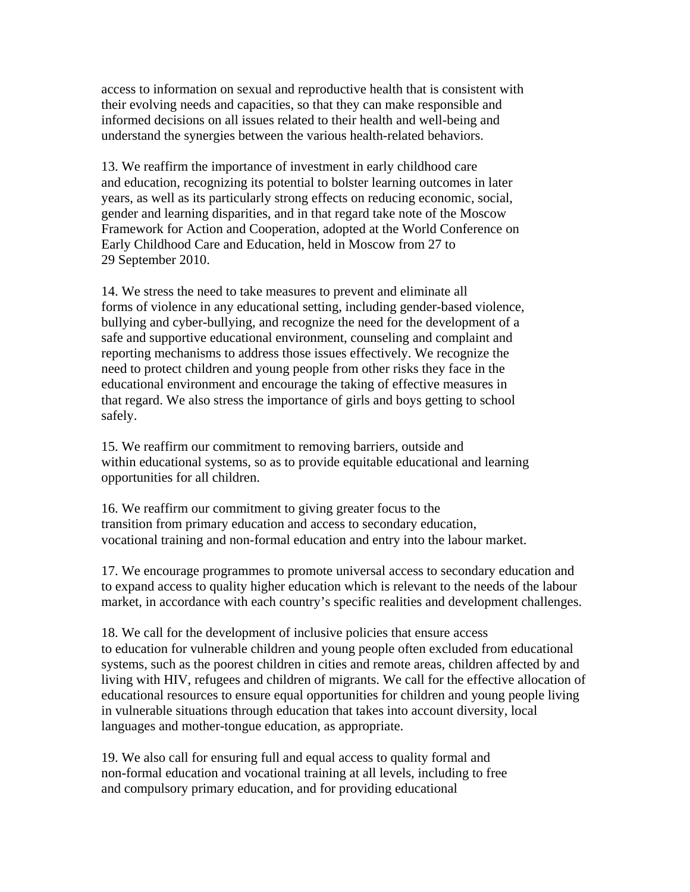access to information on sexual and reproductive health that is consistent with their evolving needs and capacities, so that they can make responsible and informed decisions on all issues related to their health and well-being and understand the synergies between the various health-related behaviors.

13. We reaffirm the importance of investment in early childhood care and education, recognizing its potential to bolster learning outcomes in later years, as well as its particularly strong effects on reducing economic, social, gender and learning disparities, and in that regard take note of the Moscow Framework for Action and Cooperation, adopted at the World Conference on Early Childhood Care and Education, held in Moscow from 27 to 29 September 2010.

14. We stress the need to take measures to prevent and eliminate all forms of violence in any educational setting, including gender-based violence, bullying and cyber-bullying, and recognize the need for the development of a safe and supportive educational environment, counseling and complaint and reporting mechanisms to address those issues effectively. We recognize the need to protect children and young people from other risks they face in the educational environment and encourage the taking of effective measures in that regard. We also stress the importance of girls and boys getting to school safely.

15. We reaffirm our commitment to removing barriers, outside and within educational systems, so as to provide equitable educational and learning opportunities for all children.

16. We reaffirm our commitment to giving greater focus to the transition from primary education and access to secondary education, vocational training and non-formal education and entry into the labour market.

17. We encourage programmes to promote universal access to secondary education and to expand access to quality higher education which is relevant to the needs of the labour market, in accordance with each country's specific realities and development challenges.

18. We call for the development of inclusive policies that ensure access to education for vulnerable children and young people often excluded from educational systems, such as the poorest children in cities and remote areas, children affected by and living with HIV, refugees and children of migrants. We call for the effective allocation of educational resources to ensure equal opportunities for children and young people living in vulnerable situations through education that takes into account diversity, local languages and mother-tongue education, as appropriate.

19. We also call for ensuring full and equal access to quality formal and non-formal education and vocational training at all levels, including to free and compulsory primary education, and for providing educational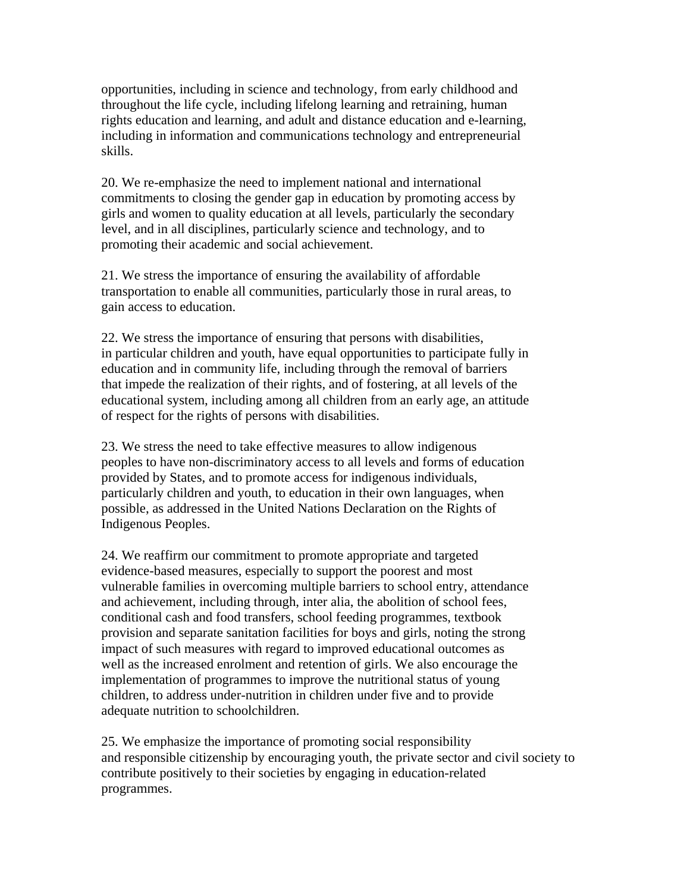opportunities, including in science and technology, from early childhood and throughout the life cycle, including lifelong learning and retraining, human rights education and learning, and adult and distance education and e-learning, including in information and communications technology and entrepreneurial skills.

20. We re-emphasize the need to implement national and international commitments to closing the gender gap in education by promoting access by girls and women to quality education at all levels, particularly the secondary level, and in all disciplines, particularly science and technology, and to promoting their academic and social achievement.

21. We stress the importance of ensuring the availability of affordable transportation to enable all communities, particularly those in rural areas, to gain access to education.

22. We stress the importance of ensuring that persons with disabilities, in particular children and youth, have equal opportunities to participate fully in education and in community life, including through the removal of barriers that impede the realization of their rights, and of fostering, at all levels of the educational system, including among all children from an early age, an attitude of respect for the rights of persons with disabilities.

23. We stress the need to take effective measures to allow indigenous peoples to have non-discriminatory access to all levels and forms of education provided by States, and to promote access for indigenous individuals, particularly children and youth, to education in their own languages, when possible, as addressed in the United Nations Declaration on the Rights of Indigenous Peoples.

24. We reaffirm our commitment to promote appropriate and targeted evidence-based measures, especially to support the poorest and most vulnerable families in overcoming multiple barriers to school entry, attendance and achievement, including through, inter alia, the abolition of school fees, conditional cash and food transfers, school feeding programmes, textbook provision and separate sanitation facilities for boys and girls, noting the strong impact of such measures with regard to improved educational outcomes as well as the increased enrolment and retention of girls. We also encourage the implementation of programmes to improve the nutritional status of young children, to address under-nutrition in children under five and to provide adequate nutrition to schoolchildren.

25. We emphasize the importance of promoting social responsibility and responsible citizenship by encouraging youth, the private sector and civil society to contribute positively to their societies by engaging in education-related programmes.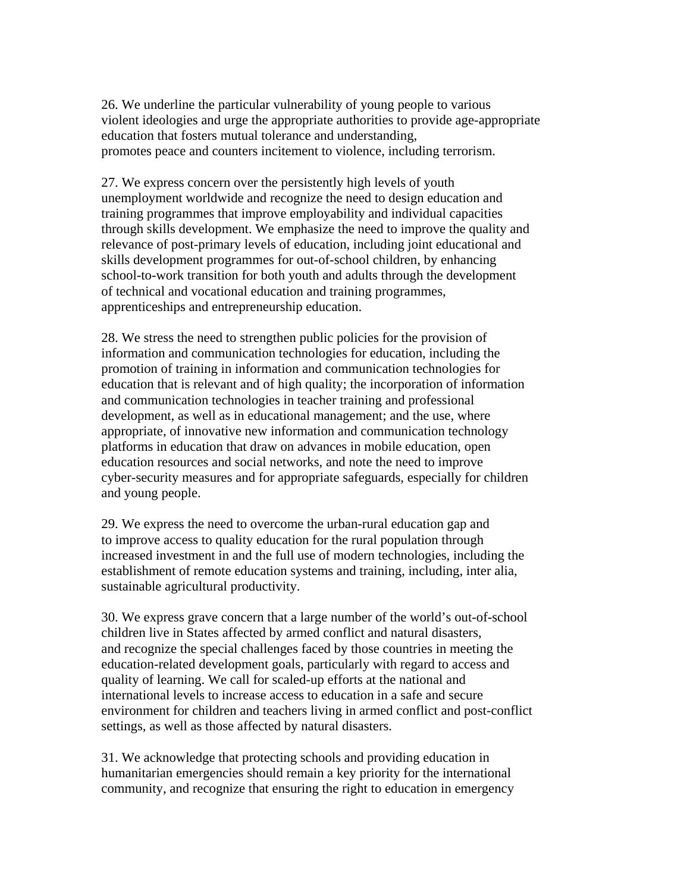26. We underline the particular vulnerability of young people to various violent ideologies and urge the appropriate authorities to provide age-appropriate education that fosters mutual tolerance and understanding, promotes peace and counters incitement to violence, including terrorism.

27. We express concern over the persistently high levels of youth unemployment worldwide and recognize the need to design education and training programmes that improve employability and individual capacities through skills development. We emphasize the need to improve the quality and relevance of post-primary levels of education, including joint educational and skills development programmes for out-of-school children, by enhancing school-to-work transition for both youth and adults through the development of technical and vocational education and training programmes, apprenticeships and entrepreneurship education.

28. We stress the need to strengthen public policies for the provision of information and communication technologies for education, including the promotion of training in information and communication technologies for education that is relevant and of high quality; the incorporation of information and communication technologies in teacher training and professional development, as well as in educational management; and the use, where appropriate, of innovative new information and communication technology platforms in education that draw on advances in mobile education, open education resources and social networks, and note the need to improve cyber-security measures and for appropriate safeguards, especially for children and young people.

29. We express the need to overcome the urban-rural education gap and to improve access to quality education for the rural population through increased investment in and the full use of modern technologies, including the establishment of remote education systems and training, including, inter alia, sustainable agricultural productivity.

30. We express grave concern that a large number of the world's out-of-school children live in States affected by armed conflict and natural disasters, and recognize the special challenges faced by those countries in meeting the education-related development goals, particularly with regard to access and quality of learning. We call for scaled-up efforts at the national and international levels to increase access to education in a safe and secure environment for children and teachers living in armed conflict and post-conflict settings, as well as those affected by natural disasters.

31. We acknowledge that protecting schools and providing education in humanitarian emergencies should remain a key priority for the international community, and recognize that ensuring the right to education in emergency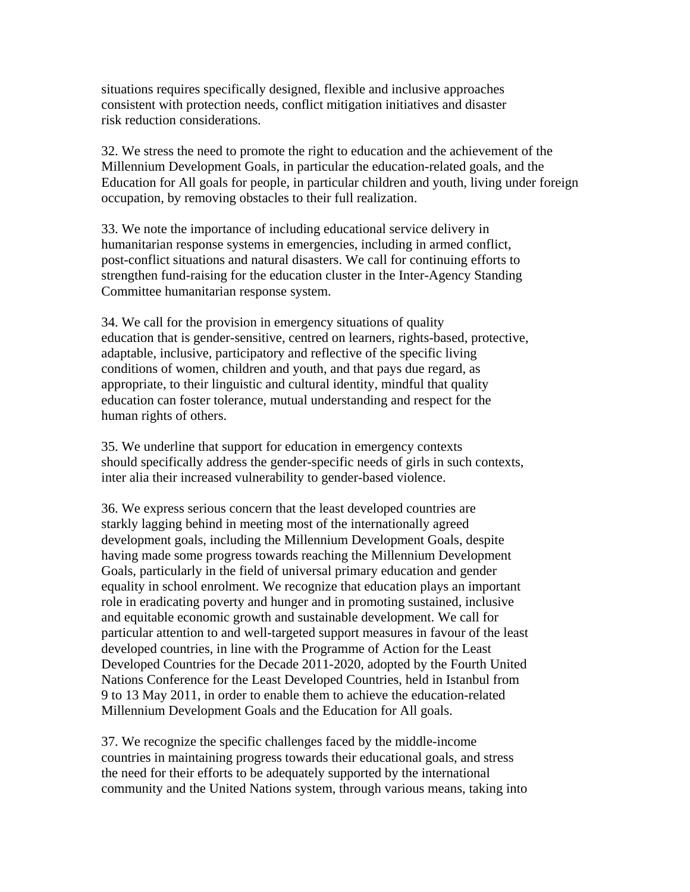situations requires specifically designed, flexible and inclusive approaches consistent with protection needs, conflict mitigation initiatives and disaster risk reduction considerations.

32. We stress the need to promote the right to education and the achievement of the Millennium Development Goals, in particular the education-related goals, and the Education for All goals for people, in particular children and youth, living under foreign occupation, by removing obstacles to their full realization.

33. We note the importance of including educational service delivery in humanitarian response systems in emergencies, including in armed conflict, post-conflict situations and natural disasters. We call for continuing efforts to strengthen fund-raising for the education cluster in the Inter-Agency Standing Committee humanitarian response system.

34. We call for the provision in emergency situations of quality education that is gender-sensitive, centred on learners, rights-based, protective, adaptable, inclusive, participatory and reflective of the specific living conditions of women, children and youth, and that pays due regard, as appropriate, to their linguistic and cultural identity, mindful that quality education can foster tolerance, mutual understanding and respect for the human rights of others.

35. We underline that support for education in emergency contexts should specifically address the gender-specific needs of girls in such contexts, inter alia their increased vulnerability to gender-based violence.

36. We express serious concern that the least developed countries are starkly lagging behind in meeting most of the internationally agreed development goals, including the Millennium Development Goals, despite having made some progress towards reaching the Millennium Development Goals, particularly in the field of universal primary education and gender equality in school enrolment. We recognize that education plays an important role in eradicating poverty and hunger and in promoting sustained, inclusive and equitable economic growth and sustainable development. We call for particular attention to and well-targeted support measures in favour of the least developed countries, in line with the Programme of Action for the Least Developed Countries for the Decade 2011-2020, adopted by the Fourth United Nations Conference for the Least Developed Countries, held in Istanbul from 9 to 13 May 2011, in order to enable them to achieve the education-related Millennium Development Goals and the Education for All goals.

37. We recognize the specific challenges faced by the middle-income countries in maintaining progress towards their educational goals, and stress the need for their efforts to be adequately supported by the international community and the United Nations system, through various means, taking into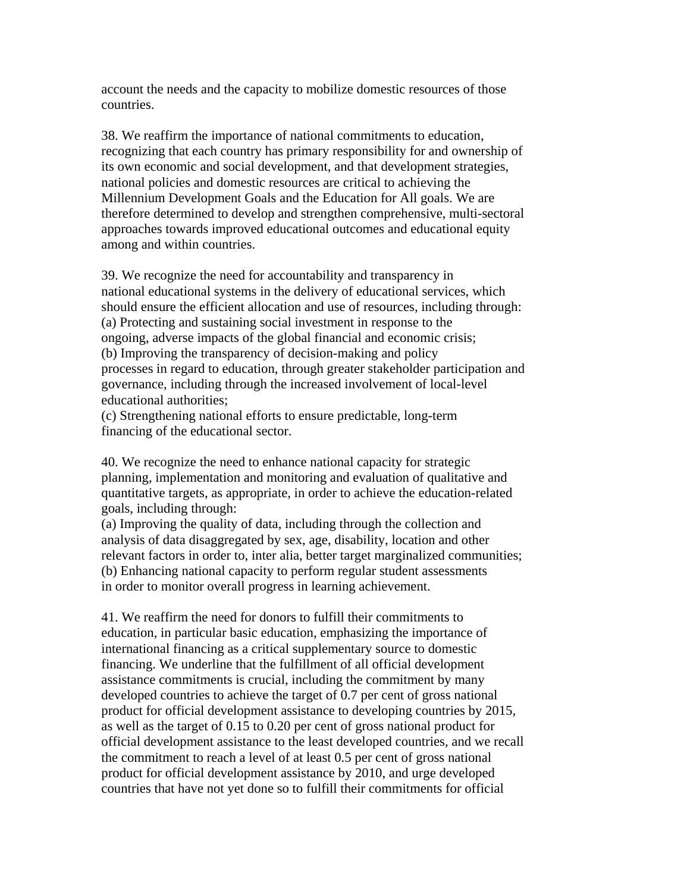account the needs and the capacity to mobilize domestic resources of those countries.

38. We reaffirm the importance of national commitments to education, recognizing that each country has primary responsibility for and ownership of its own economic and social development, and that development strategies, national policies and domestic resources are critical to achieving the Millennium Development Goals and the Education for All goals. We are therefore determined to develop and strengthen comprehensive, multi-sectoral approaches towards improved educational outcomes and educational equity among and within countries.

39. We recognize the need for accountability and transparency in national educational systems in the delivery of educational services, which should ensure the efficient allocation and use of resources, including through: (a) Protecting and sustaining social investment in response to the ongoing, adverse impacts of the global financial and economic crisis; (b) Improving the transparency of decision-making and policy processes in regard to education, through greater stakeholder participation and governance, including through the increased involvement of local-level educational authorities;

(c) Strengthening national efforts to ensure predictable, long-term financing of the educational sector.

40. We recognize the need to enhance national capacity for strategic planning, implementation and monitoring and evaluation of qualitative and quantitative targets, as appropriate, in order to achieve the education-related goals, including through:

(a) Improving the quality of data, including through the collection and analysis of data disaggregated by sex, age, disability, location and other relevant factors in order to, inter alia, better target marginalized communities; (b) Enhancing national capacity to perform regular student assessments in order to monitor overall progress in learning achievement.

41. We reaffirm the need for donors to fulfill their commitments to education, in particular basic education, emphasizing the importance of international financing as a critical supplementary source to domestic financing. We underline that the fulfillment of all official development assistance commitments is crucial, including the commitment by many developed countries to achieve the target of 0.7 per cent of gross national product for official development assistance to developing countries by 2015, as well as the target of 0.15 to 0.20 per cent of gross national product for official development assistance to the least developed countries, and we recall the commitment to reach a level of at least 0.5 per cent of gross national product for official development assistance by 2010, and urge developed countries that have not yet done so to fulfill their commitments for official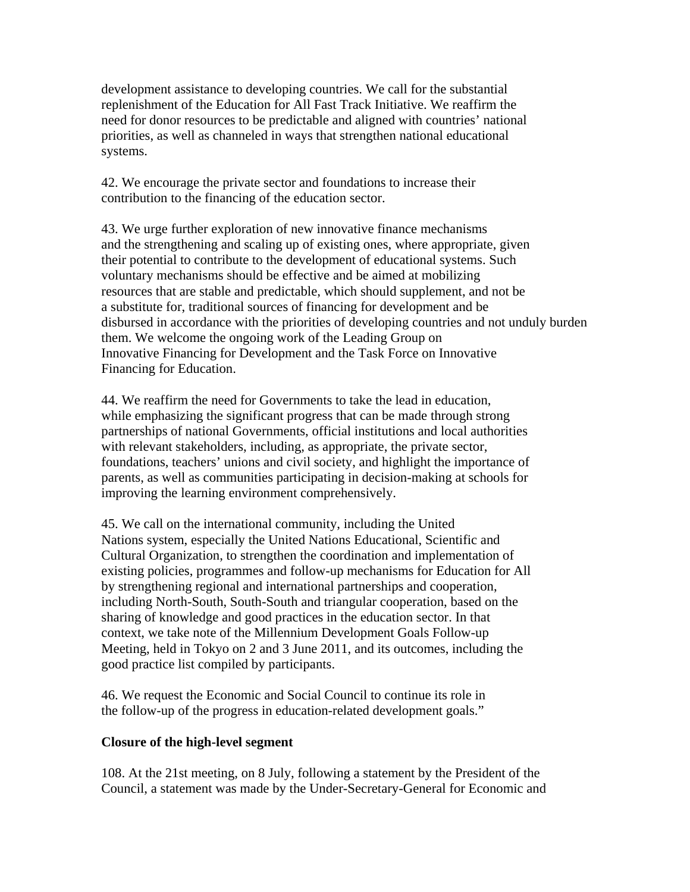development assistance to developing countries. We call for the substantial replenishment of the Education for All Fast Track Initiative. We reaffirm the need for donor resources to be predictable and aligned with countries' national priorities, as well as channeled in ways that strengthen national educational systems.

42. We encourage the private sector and foundations to increase their contribution to the financing of the education sector.

43. We urge further exploration of new innovative finance mechanisms and the strengthening and scaling up of existing ones, where appropriate, given their potential to contribute to the development of educational systems. Such voluntary mechanisms should be effective and be aimed at mobilizing resources that are stable and predictable, which should supplement, and not be a substitute for, traditional sources of financing for development and be disbursed in accordance with the priorities of developing countries and not unduly burden them. We welcome the ongoing work of the Leading Group on Innovative Financing for Development and the Task Force on Innovative Financing for Education.

44. We reaffirm the need for Governments to take the lead in education, while emphasizing the significant progress that can be made through strong partnerships of national Governments, official institutions and local authorities with relevant stakeholders, including, as appropriate, the private sector, foundations, teachers' unions and civil society, and highlight the importance of parents, as well as communities participating in decision-making at schools for improving the learning environment comprehensively.

45. We call on the international community, including the United Nations system, especially the United Nations Educational, Scientific and Cultural Organization, to strengthen the coordination and implementation of existing policies, programmes and follow-up mechanisms for Education for All by strengthening regional and international partnerships and cooperation, including North-South, South-South and triangular cooperation, based on the sharing of knowledge and good practices in the education sector. In that context, we take note of the Millennium Development Goals Follow-up Meeting, held in Tokyo on 2 and 3 June 2011, and its outcomes, including the good practice list compiled by participants.

46. We request the Economic and Social Council to continue its role in the follow-up of the progress in education-related development goals."

## **Closure of the high-level segment**

108. At the 21st meeting, on 8 July, following a statement by the President of the Council, a statement was made by the Under-Secretary-General for Economic and